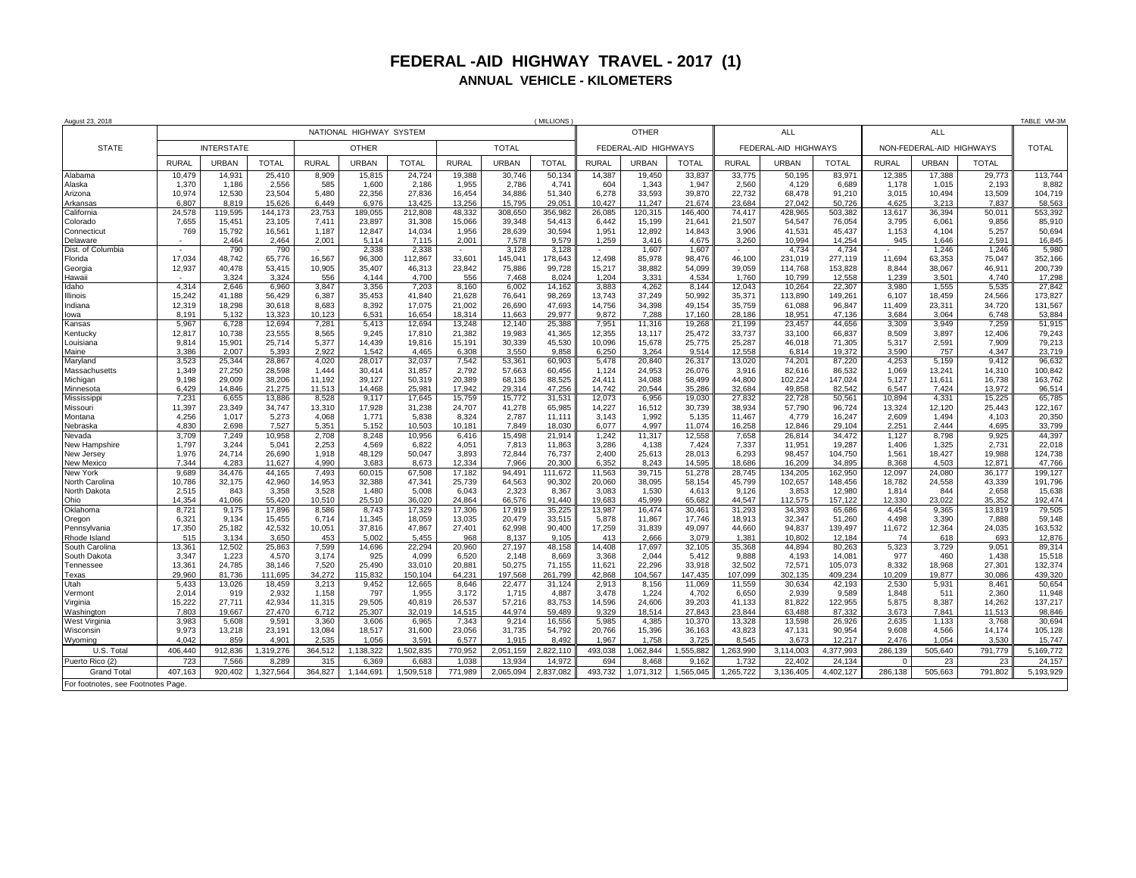## **FEDERAL -AID HIGHWAY TRAVEL - 2017 (1) ANNUAL VEHICLE - KILOMETERS**

| August 23, 2018                    |                         |                 |                  |                 |                 |                 |                  |                  | (MILLIONS        |                      |                  |                  |                      |                   |                   |                          |                 |                 | TABLE VM-3M        |
|------------------------------------|-------------------------|-----------------|------------------|-----------------|-----------------|-----------------|------------------|------------------|------------------|----------------------|------------------|------------------|----------------------|-------------------|-------------------|--------------------------|-----------------|-----------------|--------------------|
|                                    | NATIONAL HIGHWAY SYSTEM |                 |                  |                 |                 |                 |                  | <b>OTHER</b>     |                  |                      |                  |                  | <b>ALL</b>           |                   |                   | <b>ALL</b>               |                 |                 |                    |
| <b>STATE</b>                       | <b>INTERSTATE</b>       |                 |                  | <b>OTHER</b>    |                 |                 | <b>TOTAL</b>     |                  |                  | FEDERAL-AID HIGHWAYS |                  |                  | FEDERAL-AID HIGHWAYS |                   |                   | NON-FEDERAL-AID HIGHWAYS |                 |                 | <b>TOTAL</b>       |
|                                    | <b>RURAL</b>            | <b>URBAN</b>    | <b>TOTAL</b>     | <b>RURAL</b>    | <b>URBAN</b>    | <b>TOTAL</b>    | <b>RURAL</b>     | <b>URBAN</b>     | <b>TOTAL</b>     | <b>RURAL</b>         | <b>URBAN</b>     | <b>TOTAL</b>     | <b>RURAL</b>         | <b>URBAN</b>      | <b>TOTAL</b>      | <b>RURAL</b>             | <b>URBAN</b>    | <b>TOTAL</b>    |                    |
| Alabama                            | 10.479                  | 14.931          | 25,410           | 8,909           | 15.815          | 24,724          | 19.388           | 30.746           | 50.134           | 14,387               | 19.450           | 33.837           | 33.775               | 50.195            | 83.971            | 12,385                   | 17,388          | 29,773          | 113,744            |
| Alaska                             | 1,370                   | 1.186           | 2,556            | 585             | 1.600           | 2.186<br>27,836 | 1,955            | 2,786            | 4.741            | 604                  | 1.343            | 1.947            | 2.560                | 4.129             | 6.689             | 1.178                    | 1.015           | 2.193           | 8,882              |
| Arizona<br>Arkansas                | 10,974<br>6,807         | 12,530<br>8.819 | 23,504<br>15,626 | 5,480<br>6.449  | 22,356<br>6,976 | 13,425          | 16,454<br>13,256 | 34,886<br>15,795 | 51,340<br>29.051 | 6,278<br>10,427      | 33,593<br>11,247 | 39,870<br>21,674 | 22,732<br>23.684     | 68,478<br>27.042  | 91,210<br>50,726  | 3,015<br>4.625           | 10,494<br>3.213 | 13,509<br>7,837 | 104,719<br>58,563  |
| California                         | 24,578                  | 119,595         | 144,173          | 23,753          | 189,055         | 212,808         | 48,332           | 308,650          | 356,982          | 26,085               | 120,315          | 146,40           | 74,417               | 428,965           | 503,382           | 13,617                   | 36,394          | 50,011          | 553,392            |
| Colorado                           | 7,655                   | 15,451          | 23,105           | 7,411           | 23,897          | 31,308          | 15,066           | 39,348           | 54,413           | 6.442                | 15,199           | 21,64            | 21,507               | 54,547            | 76,054            | 3,795                    | 6,061           | 9,856           | 85,910             |
| Connecticut                        | 769                     | 15.792          | 16,561           | 1,187           | 12.847          | 14.034          | 1.956            | 28,639           | 30.594           | 1.951                | 12.892           | 14.843           | 3.906                | 41,531            | 45,437            | 1.153                    | 4.104           | 5,257           | 50,694             |
| Delaware                           |                         | 2.464           | 2,464            | 2,001           | 5.114           | 7,115           | 2,001            | 7,578            | 9.579            | 1,259                | 3,416            | 4,675            | 3,260                | 10,994            | 14,254            | 945                      | 1,646           | 2,591           | 16,845             |
| Dist. of Columbia                  | ٠                       | 790             | 790              | $\sim$          | 2,338           | 2,338           | $\sim$           | 3,128            | 3,128            | $\sim$               | 1,607            | 1,60             | $\sim$               | 4,734             | 4,734             |                          | 1,246           | 1,246           | 5,980              |
| Florida                            | 17,034                  | 48,742          | 65,776           | 16,567          | 96,300          | 112,867         | 33,601           | 145,041          | 178,643          | 12,498               | 85,978           | 98,476           | 46,100               | 231,019           | 277,119           | 11,694                   | 63,353          | 75,047          | 352,166<br>200,739 |
| Georgia<br>Hawaii                  | 12,937                  | 40,478<br>3.324 | 53,415<br>3,324  | 10,905<br>556   | 35,407<br>4.144 | 46,313<br>4.700 | 23,842<br>556    | 75,886<br>7,468  | 99,728<br>8.024  | 15,217<br>1,204      | 38,882<br>3,331  | 54,099<br>4,534  | 39,059<br>1.760      | 114,768<br>10,799 | 153,828<br>12.558 | 8,844<br>1,239           | 38,067<br>3,501 | 46,911<br>4,740 | 17,298             |
| Idaho                              | 4,314                   | 2,646           | 6,960            | 3,847           | 3,356           | 7,203           | 8,160            | 6,002            | 14,162           | 3,883                | 4,262            | 8.144            | 12,043               | 10,264            | 22,307            | 3,980                    | 1,555           | 5,535           | 27,842             |
| Illinois                           | 15,242                  | 41,188          | 56,429           | 6,387           | 35,453          | 41,840          | 21,628           | 76,641           | 98,269           | 13,743               | 37,249           | 50,992           | 35,371               | 113,890           | 149,261           | 6,107                    | 18,459          | 24,566          | 173,827            |
| Indiana                            | 12,319                  | 18,298          | 30,618           | 8,683           | 8,392           | 17,075          | 21,002           | 26,690           | 47,693           | 14,756               | 34,398           | 49,154           | 35,759               | 61,088            | 96,847            | 11,409                   | 23,311          | 34,720          | 131,567            |
| owa                                | 8.191                   | 5,132           | 13,323           | 10,123          | 6,531           | 16,654          | 18,314           | 11,663           | 29.977           | 9,872                | 7,288            | 17,160           | 28,186               | 18.951            | 47.136            | 3,684                    | 3,064           | 6,748           | 53,884             |
| Kansas                             | 5,967                   | 6,728           | 12,694           | 7,281           | 5,413           | 12,694          | 13,248           | 12,140           | 25,388           | 7,951                | 11,316           | 19,268           | 21,199               | 23,457            | 44,656            | 3,309                    | 3,949           | 7,259           | 51,915             |
| Kentuckv                           | 12,817                  | 10.738          | 23,555<br>25.714 | 8.565<br>5.377  | 9.245<br>14.439 | 17.810          | 21,382           | 19.983<br>30.339 | 41.365<br>45.530 | 12,355<br>10.096     | 13.117           | 25.472           | 33,737               | 33.100            | 66,837            | 8.509                    | 3.897<br>2.591  | 12.406<br>7.909 | 79,243<br>79.213   |
| Louisiana<br>Maine                 | 9.814<br>3.386          | 15.901<br>2.007 | 5.393            | 2.922           | 1.542           | 19.816<br>4.465 | 15.191<br>6.308  | 3.550            | 9.858            | 6.250                | 15.678<br>3.264  | 25.775<br>9.514  | 25.287<br>12.558     | 46.018<br>6.814   | 71.305<br>19.372  | 5.317<br>3.590           | 757             | 4.347           | 23.719             |
| Maryland                           | 3,523                   | 25.344          | 28,867           | 4,020           | 28.017          | 32.037          | 7,542            | 53,361           | 60.903           | 5,478                | 20.840           | 26,31            | 13,020               | 74,201            | 87,220            | 4,253                    | 5.159           | 9,412           | 96,632             |
| Massachusetts                      | 1,349                   | 27,250          | 28,598           | 1,444           | 30,414          | 31,857          | 2,792            | 57,663           | 60.456           | 1,124                | 24,953           | 26,076           | 3,916                | 82,616            | 86,532            | 1,069                    | 13,241          | 14,310          | 100,842            |
| Michigan                           | 9,198                   | 29,009          | 38,206           | 11,192          | 39,127          | 50,319          | 20,389           | 68,136           | 88,525           | 24,411               | 34,088           | 58,499           | 44,800               | 102,224           | 147,024           | 5,127                    | 11,611          | 16,738          | 163,762            |
| Minnesota                          | 6.429                   | 14.846          | 21.275           | 11.513          | 14.468          | 25.981          | 17.942           | 29.314           | 47.256           | 14.742               | 20.544           | 35.286           | 32.684               | 49.858            | 82.542            | 6.547                    | 7,424           | 13,972          | 96,514             |
| Mississippi                        | 7,231                   | 6.655           | 13.886           | 8.528           | 9.117           | 17.645          | 15.759           | 15,772           | 31.531           | 12.073               | 6.956            | 19.030           | 27.832               | 22,728            | 50.561            | 10.894                   | 4.331           | 15.225          | 65,785             |
| Missouri                           | 11,397                  | 23.349          | 34,747           | 13,310          | 17,928<br>1,771 | 31,238          | 24,707           | 41,278           | 65,985           | 14,227               | 16,512           | 30,739           | 38,934               | 57,790            | 96,724            | 13,324                   | 12,120          | 25,443          | 122,167            |
| Montana<br>Nebraska                | 4,256<br>4,830          | 1,017<br>2.698  | 5,273<br>7,527   | 4,068<br>5,351  | 5,152           | 5,838<br>10,503 | 8,324<br>10.181  | 2,787<br>7.849   | 11,111<br>18,030 | 3,143<br>6,077       | 1,992<br>4.997   | 5,135<br>11,074  | 11,467<br>16,258     | 4,779<br>12.846   | 16,247<br>29.104  | 2,609<br>2,251           | 1,494<br>2.444  | 4,103<br>4,695  | 20,350<br>33,799   |
| Nevada                             | 3,709                   | 7,249           | 10,958           | 2,708           | 8,248           | 10,956          | 6,416            | 15,498           | 21,914           | 1,242                | 11,317           | 12,558           | 7,658                | 26,814            | 34.472            | 1,127                    | 8.798           | 9,925           | 44,397             |
| New Hampshire                      | 1,797                   | 3,244           | 5,04'            | 2,253           | 4,569           | 6,822           | 4,051            | 7,813            | 11,863           | 3,286                | 4,138            | 7,424            | 7,337                | 11,951            | 19,287            | 1,406                    | 1,325           | 2,731           | 22,018             |
| New Jersey                         | 1,976                   | 24.714          | 26,690           | 1,918           | 48.129          | 50.047          | 3,893            | 72,844           | 76,737           | 2.400                | 25,613           | 28,013           | 6.293                | 98,457            | 104,750           | 1,561                    | 18,427          | 19,988          | 124,738            |
| New Mexico                         | 7,344                   | 4.283           | 11,627           | 4,990           | 3.683           | 8.673           | 12,334           | 7,966            | 20.300           | 6,352                | 8,243            | 14,595           | 18,686               | 16,209            | 34,895            | 8,368                    | 4,503           | 12,871          | 47,766             |
| New York                           | 9,689                   | 34,476          | 44,165           | 7,493           | 60,015          | 67,508          | 17,182           | 94,491           | 111,672          | 11,563               | 39,715           | 51,278           | 28,745               | 134,205           | 162,950           | 12,097                   | 24,080          | 36,177          | 199,127            |
| North Carolina<br>North Dakota     | 10,786<br>2,515         | 32,175<br>843   | 42,960<br>3,358  | 14,953<br>3,528 | 32,388<br>1,480 | 47,341<br>5,008 | 25,739<br>6,043  | 64,563<br>2,323  | 90,302<br>8,367  | 20,060<br>3,083      | 38,095<br>1,530  | 58,154           | 45,799<br>9,126      | 102,657<br>3,853  | 148,456<br>12,980 | 18,782<br>1,814          | 24,558<br>844   | 43,339<br>2,658 | 191,796<br>15,638  |
| Ohio                               | 14,354                  | 41.066          | 55,420           | 10,510          | 25,510          | 36,020          | 24,864           | 66,576           | 91.440           | 19,683               | 45,999           | 4,613<br>65,682  | 44.547               | 112.575           | 157,122           | 12,330                   | 23.022          | 35,352          | 192,474            |
| Oklahoma                           | 8,721                   | 9,175           | 17,896           | 8,586           | 8,743           | 17,329          | 17,306           | 17,919           | 35,225           | 13,987               | 16,474           | 30,46            | 31,293               | 34,393            | 65,686            | 4,454                    | 9,365           | 13,819          | 79,505             |
| Oregon                             | 6,321                   | 9,134           | 15,455           | 6,714           | 11,345          | 18,059          | 13,035           | 20,479           | 33,515           | 5,878                | 11,867           | 17,746           | 18,913               | 32,347            | 51,260            | 4,498                    | 3,390           | 7,888           | 59,148             |
| Pennsylvania                       | 17,350                  | 25,182          | 42,532           | 10,051          | 37,816          | 47,867          | 27,401           | 62,998           | 90,400           | 17,259               | 31,839           | 49,097           | 44,660               | 94,837            | 139,497           | 11,672                   | 12,364          | 24,035          | 163,532            |
| Rhode Island                       | 515                     | 3.134           | 3,650            | 453             | 5,002           | 5,455           | 968              | 8,137            | 9,105            | 413                  | 2,666            | 3,079            | 1,381                | 10,802            | 12,184            | 74                       | 618             | 693             | 12,876             |
| South Carolina                     | 13,361                  | 12,502          | 25,863           | 7,599           | 14,696          | 22,294          | 20,960           | 27,197           | 48,158           | 14,408               | 17,697           | 32,105           | 35,368               | 44,894            | 80,263            | 5,323<br>977             | 3,729           | 9,051           | 89,314             |
| South Dakota<br>Tennessee          | 3,347<br>13.361         | 1,223<br>24.785 | 4,570<br>38.146  | 3.174<br>7.520  | 925<br>25.490   | 4.099<br>33.010 | 6,520<br>20.881  | 2,148<br>50.275  | 8.669<br>71.155  | 3,368<br>11.621      | 2.044<br>22.296  | 5.412<br>33.918  | 9.888<br>32.502      | 4.193<br>72.571   | 14,081<br>105.073 | 8.332                    | 460<br>18.968   | 1.438<br>27.301 | 15,518<br>132,374  |
| Texas                              | 29,960                  | 81.736          | 111.695          | 34,272          | 115.832         | 150,104         | 64.231           | 197,568          | 261.799          | 42,868               | 104,567          | 147,435          | 107,099              | 302.135           | 409.234           | 10,209                   | 19.877          | 30.086          | 439,320            |
| Utah                               | 5,433                   | 13.026          | 18,459           | 3,213           | 9,452           | 12,665          | 8,646            | 22,477           | 31,124           | 2,913                | 8,156            | 11,069           | 11,559               | 30,634            | 42,193            | 2,530                    | 5,931           | 8,461           | 50,654             |
| Vermont                            | 2,014                   | 919             | 2,932            | 1,158           | 797             | 1,955           | 3,172            | 1,715            | 4,887            | 3,478                | 1,224            | 4,702            | 6,650                | 2,939             | 9,589             | 1,848                    | 511             | 2,360           | 11,948             |
| Virginia                           | 15,222                  | 27,711          | 42,934           | 11,315          | 29.505          | 40,819          | 26,537           | 57,216           | 83,753           | 14,596               | 24,606           | 39,203           | 41,133               | 81,822            | 122,955           | 5.875                    | 8,387           | 14,262          | 137,217            |
| Washington                         | 7.803                   | 19.667          | 27,470           | 6,712           | 25,307          | 32.019          | 14.515           | 44.974           | 59.489           | 9.329                | 18.514           | 27.843           | 23.844               | 63,488            | 87.332            | 3.673                    | 7.841           | 11.513          | 98,846             |
| West Virginia                      | 3,983                   | 5.608           | 9.59'            | 3,360           | 3.606           | 6.965           | 7,343            | 9.214            | 16.556<br>54.792 | 5.985                | 4,385            | 10.370           | 13.328               | 13.598            | 26.926            | 2.635<br>9.608           | 1.133           | 3.768           | 30,694             |
| Wisconsin<br>Wyoming               | 9,973<br>4.042          | 13,218<br>859   | 23,191<br>4.90'  | 13,084<br>2.535 | 18,517<br>1.056 | 31,600<br>3.591 | 23,056<br>6,577  | 31,735<br>1.915  | 8.492            | 20,766<br>1,967      | 15,396<br>1.758  | 36,163<br>3.725  | 43,823<br>8.545      | 47,131<br>3,673   | 90,954<br>12.217  | 2.476                    | 4,566<br>1,054  | 14,174<br>3.530 | 105,128<br>15,747  |
| U.S. Total                         | 406,440                 | 912,836         | 1,319,276        | 364,512         | 1,138,322       | 1,502,835       | 770,952          | 2,051,159        | 2,822,110        | 493,038              | 1,062,844        | 1,555,882        | 1,263,990            | 3,114,003         | 4,377,993         | 286,139                  | 505,640         | 791,779         | 5,169,772          |
| Puerto Rico (2)                    | 723                     | 7.566           | 8.289            | 315             | 6.369           | 6.683           | 1.038            | 13.934           | 14.972           | 694                  | 8.468            | 9.162            | 1.732                | 22.402            | 24.134            | $\Omega$                 | 23              | 23              | 24.157             |
| <b>Grand Total</b>                 | 407,163                 | 920,402         | 1,327,564        | 364,827         | 1,144,691       | 1,509,518       | 771,989          | 2,065,094        | 2,837,082        | 493,732              | 1,071,312        | 1,565,045        | 1,265,722            | 3,136,405         | 4,402,127         | 286,138                  | 505,663         | 791,802         | 5,193,929          |
| For footnotes, see Footnotes Page. |                         |                 |                  |                 |                 |                 |                  |                  |                  |                      |                  |                  |                      |                   |                   |                          |                 |                 |                    |
|                                    |                         |                 |                  |                 |                 |                 |                  |                  |                  |                      |                  |                  |                      |                   |                   |                          |                 |                 |                    |